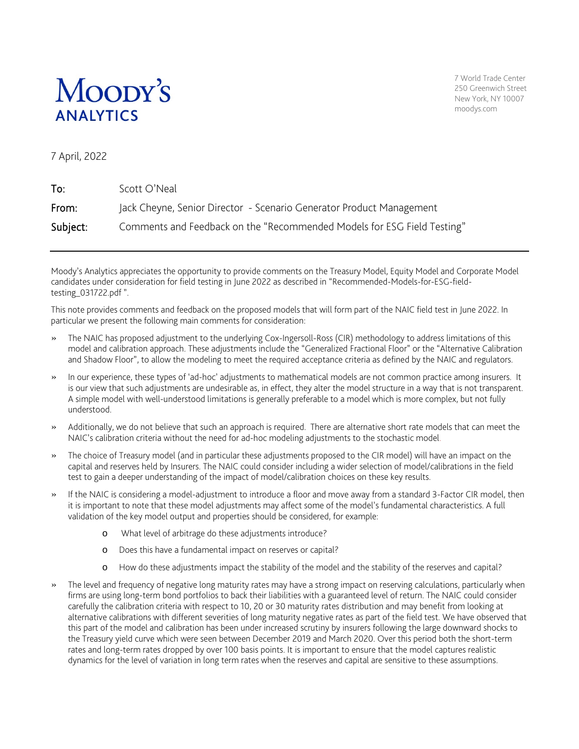

7 World Trade Center 250 Greenwich Street New York, NY 10007 moodys.com

7 April, 2022

| To:      | Scott O'Neal                                                            |
|----------|-------------------------------------------------------------------------|
| From:    | Jack Cheyne, Senior Director - Scenario Generator Product Management    |
| Subject: | Comments and Feedback on the "Recommended Models for ESG Field Testing" |

Moody's Analytics appreciates the opportunity to provide comments on the Treasury Model, Equity Model and Corporate Model candidates under consideration for field testing in June 2022 as described in "Recommended-Models-for-ESG-fieldtesting\_031722.pdf ".

This note provides comments and feedback on the proposed models that will form part of the NAIC field test in June 2022. In particular we present the following main comments for consideration:

- » The NAIC has proposed adjustment to the underlying Cox-Ingersoll-Ross (CIR) methodology to address limitations of this model and calibration approach. These adjustments include the "Generalized Fractional Floor" or the "Alternative Calibration and Shadow Floor", to allow the modeling to meet the required acceptance criteria as defined by the NAIC and regulators.
- » In our experience, these types of 'ad-hoc' adjustments to mathematical models are not common practice among insurers. It is our view that such adjustments are undesirable as, in effect, they alter the model structure in a way that is not transparent. A simple model with well-understood limitations is generally preferable to a model which is more complex, but not fully understood.
- » Additionally, we do not believe that such an approach is required. There are alternative short rate models that can meet the NAIC's calibration criteria without the need for ad-hoc modeling adjustments to the stochastic model.
- » The choice of Treasury model (and in particular these adjustments proposed to the CIR model) will have an impact on the capital and reserves held by Insurers. The NAIC could consider including a wider selection of model/calibrations in the field test to gain a deeper understanding of the impact of model/calibration choices on these key results.
- » If the NAIC is considering a model-adjustment to introduce a floor and move away from a standard 3-Factor CIR model, then it is important to note that these model adjustments may affect some of the model's fundamental characteristics. A full validation of the key model output and properties should be considered, for example:
	- o What level of arbitrage do these adjustments introduce?
	- o Does this have a fundamental impact on reserves or capital?
	- o How do these adjustments impact the stability of the model and the stability of the reserves and capital?
- » The level and frequency of negative long maturity rates may have a strong impact on reserving calculations, particularly when firms are using long-term bond portfolios to back their liabilities with a guaranteed level of return. The NAIC could consider carefully the calibration criteria with respect to 10, 20 or 30 maturity rates distribution and may benefit from looking at alternative calibrations with different severities of long maturity negative rates as part of the field test. We have observed that this part of the model and calibration has been under increased scrutiny by insurers following the large downward shocks to the Treasury yield curve which were seen between December 2019 and March 2020. Over this period both the short-term rates and long-term rates dropped by over 100 basis points. It is important to ensure that the model captures realistic dynamics for the level of variation in long term rates when the reserves and capital are sensitive to these assumptions.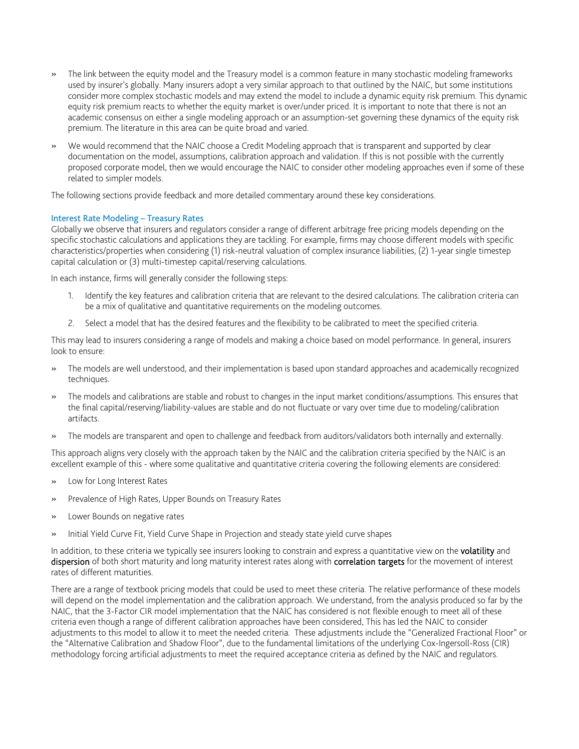- » The link between the equity model and the Treasury model is a common feature in many stochastic modeling frameworks used by insurer's globally. Many insurers adopt a very similar approach to that outlined by the NAIC, but some institutions consider more complex stochastic models and may extend the model to include a dynamic equity risk premium. This dynamic equity risk premium reacts to whether the equity market is over/under priced. It is important to note that there is not an academic consensus on either a single modeling approach or an assumption-set governing these dynamics of the equity risk premium. The literature in this area can be quite broad and varied.
- » We would recommend that the NAIC choose a Credit Modeling approach that is transparent and supported by clear documentation on the model, assumptions, calibration approach and validation. If this is not possible with the currently proposed corporate model, then we would encourage the NAIC to consider other modeling approaches even if some of these related to simpler models.

The following sections provide feedback and more detailed commentary around these key considerations.

## Interest Rate Modeling – Treasury Rates

Globally we observe that insurers and regulators consider a range of different arbitrage free pricing models depending on the specific stochastic calculations and applications they are tackling. For example, firms may choose different models with specific characteristics/properties when considering (1) risk-neutral valuation of complex insurance liabilities, (2) 1-year single timestep capital calculation or (3) multi-timestep capital/reserving calculations.

In each instance, firms will generally consider the following steps:

- 1. Identify the key features and calibration criteria that are relevant to the desired calculations. The calibration criteria can be a mix of qualitative and quantitative requirements on the modeling outcomes.
- 2. Select a model that has the desired features and the flexibility to be calibrated to meet the specified criteria.

This may lead to insurers considering a range of models and making a choice based on model performance. In general, insurers look to ensure:

- » The models are well understood, and their implementation is based upon standard approaches and academically recognized techniques.
- » The models and calibrations are stable and robust to changes in the input market conditions/assumptions. This ensures that the final capital/reserving/liability-values are stable and do not fluctuate or vary over time due to modeling/calibration artifacts.
- » The models are transparent and open to challenge and feedback from auditors/validators both internally and externally.

This approach aligns very closely with the approach taken by the NAIC and the calibration criteria specified by the NAIC is an excellent example of this - where some qualitative and quantitative criteria covering the following elements are considered:

- Low for Long Interest Rates
- » Prevalence of High Rates, Upper Bounds on Treasury Rates
- Lower Bounds on negative rates
- » Initial Yield Curve Fit, Yield Curve Shape in Projection and steady state yield curve shapes

In addition, to these criteria we typically see insurers looking to constrain and express a quantitative view on the volatility and dispersion of both short maturity and long maturity interest rates along with correlation targets for the movement of interest rates of different maturities.

There are a range of textbook pricing models that could be used to meet these criteria. The relative performance of these models will depend on the model implementation and the calibration approach. We understand, from the analysis produced so far by the NAIC, that the 3-Factor CIR model implementation that the NAIC has considered is not flexible enough to meet all of these criteria even though a range of different calibration approaches have been considered. This has led the NAIC to consider adjustments to this model to allow it to meet the needed criteria. These adjustments include the "Generalized Fractional Floor" or the "Alternative Calibration and Shadow Floor", due to the fundamental limitations of the underlying Cox-Ingersoll-Ross (CIR) methodology forcing artificial adjustments to meet the required acceptance criteria as defined by the NAIC and regulators.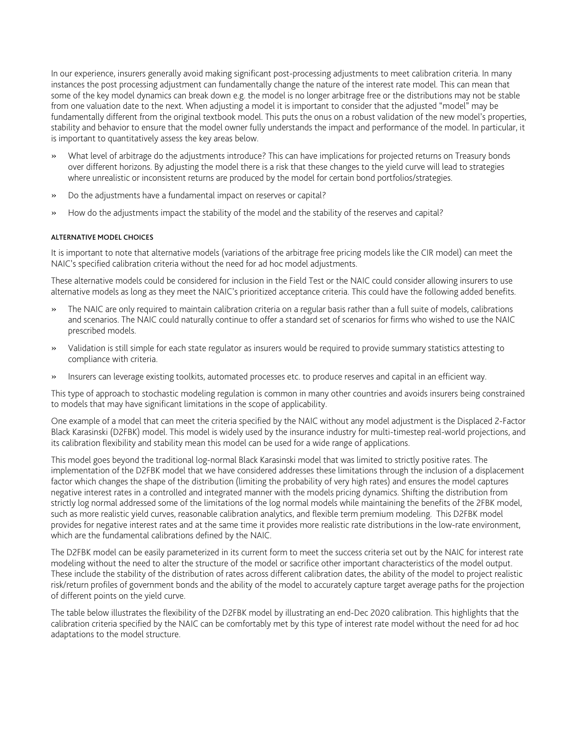In our experience, insurers generally avoid making significant post-processing adjustments to meet calibration criteria. In many instances the post processing adjustment can fundamentally change the nature of the interest rate model. This can mean that some of the key model dynamics can break down e.g. the model is no longer arbitrage free or the distributions may not be stable from one valuation date to the next. When adjusting a model it is important to consider that the adjusted "model" may be fundamentally different from the original textbook model. This puts the onus on a robust validation of the new model's properties, stability and behavior to ensure that the model owner fully understands the impact and performance of the model. In particular, it is important to quantitatively assess the key areas below.

- » What level of arbitrage do the adjustments introduce? This can have implications for projected returns on Treasury bonds over different horizons. By adjusting the model there is a risk that these changes to the yield curve will lead to strategies where unrealistic or inconsistent returns are produced by the model for certain bond portfolios/strategies.
- » Do the adjustments have a fundamental impact on reserves or capital?
- » How do the adjustments impact the stability of the model and the stability of the reserves and capital?

### ALTERNATIVE MODEL CHOICES

It is important to note that alternative models (variations of the arbitrage free pricing models like the CIR model) can meet the NAIC's specified calibration criteria without the need for ad hoc model adjustments.

These alternative models could be considered for inclusion in the Field Test or the NAIC could consider allowing insurers to use alternative models as long as they meet the NAIC's prioritized acceptance criteria. This could have the following added benefits.

- » The NAIC are only required to maintain calibration criteria on a regular basis rather than a full suite of models, calibrations and scenarios. The NAIC could naturally continue to offer a standard set of scenarios for firms who wished to use the NAIC prescribed models.
- » Validation is still simple for each state regulator as insurers would be required to provide summary statistics attesting to compliance with criteria.
- » Insurers can leverage existing toolkits, automated processes etc. to produce reserves and capital in an efficient way.

This type of approach to stochastic modeling regulation is common in many other countries and avoids insurers being constrained to models that may have significant limitations in the scope of applicability.

One example of a model that can meet the criteria specified by the NAIC without any model adjustment is the Displaced 2-Factor Black Karasinski (D2FBK) model. This model is widely used by the insurance industry for multi-timestep real-world projections, and its calibration flexibility and stability mean this model can be used for a wide range of applications.

This model goes beyond the traditional log-normal Black Karasinski model that was limited to strictly positive rates. The implementation of the D2FBK model that we have considered addresses these limitations through the inclusion of a displacement factor which changes the shape of the distribution (limiting the probability of very high rates) and ensures the model captures negative interest rates in a controlled and integrated manner with the models pricing dynamics. Shifting the distribution from strictly log normal addressed some of the limitations of the log normal models while maintaining the benefits of the 2FBK model, such as more realistic yield curves, reasonable calibration analytics, and flexible term premium modeling. This D2FBK model provides for negative interest rates and at the same time it provides more realistic rate distributions in the low-rate environment, which are the fundamental calibrations defined by the NAIC.

The D2FBK model can be easily parameterized in its current form to meet the success criteria set out by the NAIC for interest rate modeling without the need to alter the structure of the model or sacrifice other important characteristics of the model output. These include the stability of the distribution of rates across different calibration dates, the ability of the model to project realistic risk/return profiles of government bonds and the ability of the model to accurately capture target average paths for the projection of different points on the yield curve.

The table below illustrates the flexibility of the D2FBK model by illustrating an end-Dec 2020 calibration. This highlights that the calibration criteria specified by the NAIC can be comfortably met by this type of interest rate model without the need for ad hoc adaptations to the model structure.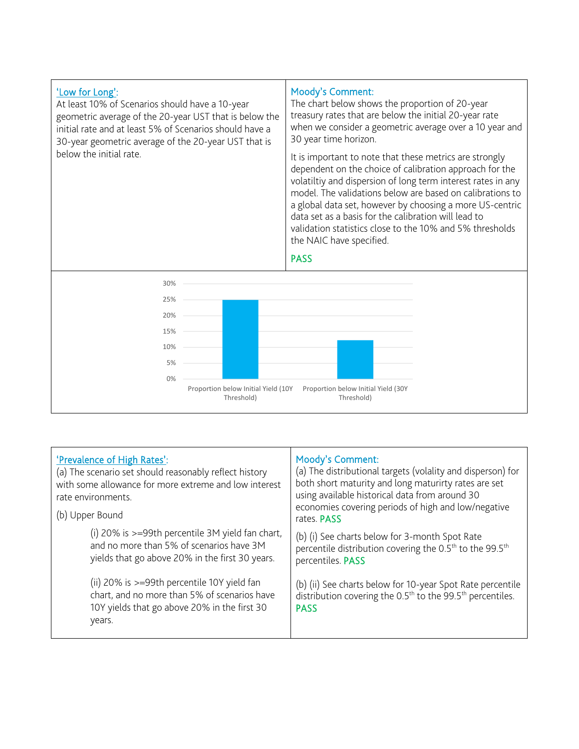

| 'Prevalence of High Rates':<br>(a) The scenario set should reasonably reflect history<br>with some allowance for more extreme and low interest<br>rate environments.<br>(b) Upper Bound | Moody's Comment:<br>(a) The distributional targets (volality and disperson) for<br>both short maturity and long maturirty rates are set<br>using available historical data from around 30<br>economies covering periods of high and low/negative<br>rates. PASS |
|-----------------------------------------------------------------------------------------------------------------------------------------------------------------------------------------|-----------------------------------------------------------------------------------------------------------------------------------------------------------------------------------------------------------------------------------------------------------------|
| (i) 20% is >=99th percentile 3M yield fan chart,<br>and no more than 5% of scenarios have 3M<br>yields that go above 20% in the first 30 years.                                         | (b) (i) See charts below for 3-month Spot Rate<br>percentile distribution covering the 0.5 <sup>th</sup> to the 99.5 <sup>th</sup><br>percentiles. PASS                                                                                                         |
| (ii) 20% is >=99th percentile 10Y yield fan<br>chart, and no more than 5% of scenarios have<br>10Y yields that go above 20% in the first 30<br>years.                                   | (b) (ii) See charts below for 10-year Spot Rate percentile<br>distribution covering the 0.5 <sup>th</sup> to the 99.5 <sup>th</sup> percentiles.<br><b>PASS</b>                                                                                                 |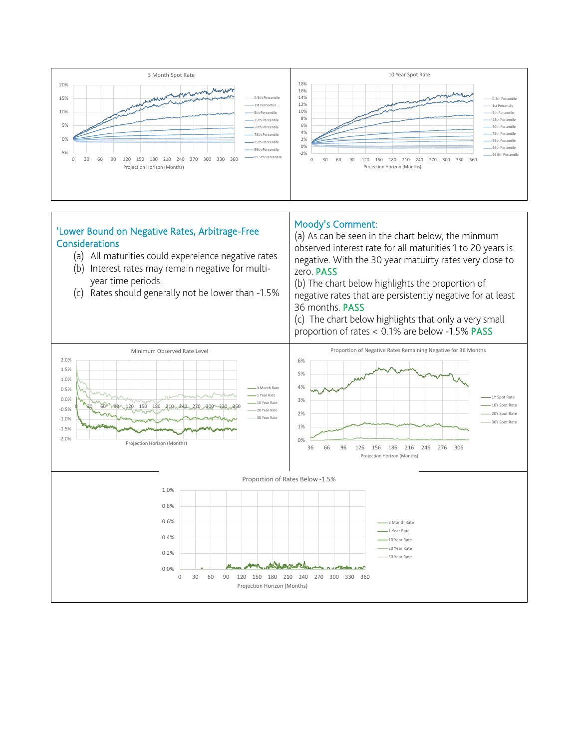

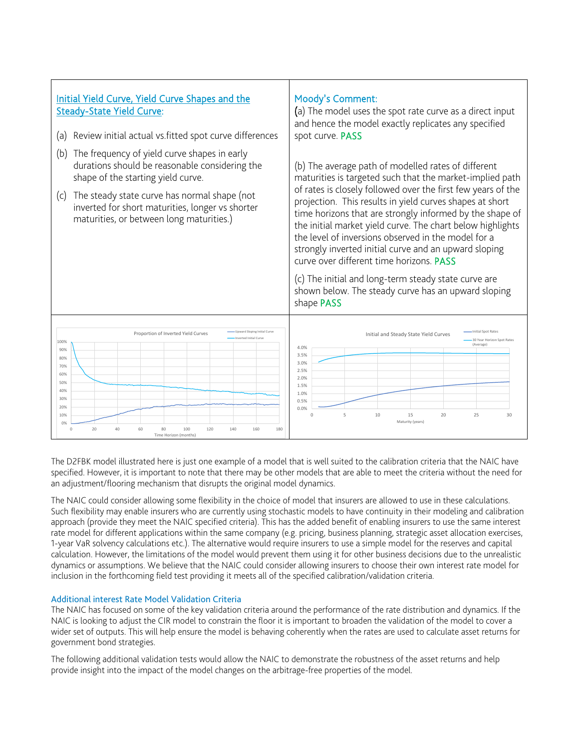

The D2FBK model illustrated here is just one example of a model that is well suited to the calibration criteria that the NAIC have specified. However, it is important to note that there may be other models that are able to meet the criteria without the need for an adjustment/flooring mechanism that disrupts the original model dynamics.

The NAIC could consider allowing some flexibility in the choice of model that insurers are allowed to use in these calculations. Such flexibility may enable insurers who are currently using stochastic models to have continuity in their modeling and calibration approach (provide they meet the NAIC specified criteria). This has the added benefit of enabling insurers to use the same interest rate model for different applications within the same company (e.g. pricing, business planning, strategic asset allocation exercises, 1-year VaR solvency calculations etc.). The alternative would require insurers to use a simple model for the reserves and capital calculation. However, the limitations of the model would prevent them using it for other business decisions due to the unrealistic dynamics or assumptions. We believe that the NAIC could consider allowing insurers to choose their own interest rate model for inclusion in the forthcoming field test providing it meets all of the specified calibration/validation criteria.

## Additional interest Rate Model Validation Criteria

The NAIC has focused on some of the key validation criteria around the performance of the rate distribution and dynamics. If the NAIC is looking to adjust the CIR model to constrain the floor it is important to broaden the validation of the model to cover a wider set of outputs. This will help ensure the model is behaving coherently when the rates are used to calculate asset returns for government bond strategies.

The following additional validation tests would allow the NAIC to demonstrate the robustness of the asset returns and help provide insight into the impact of the model changes on the arbitrage-free properties of the model.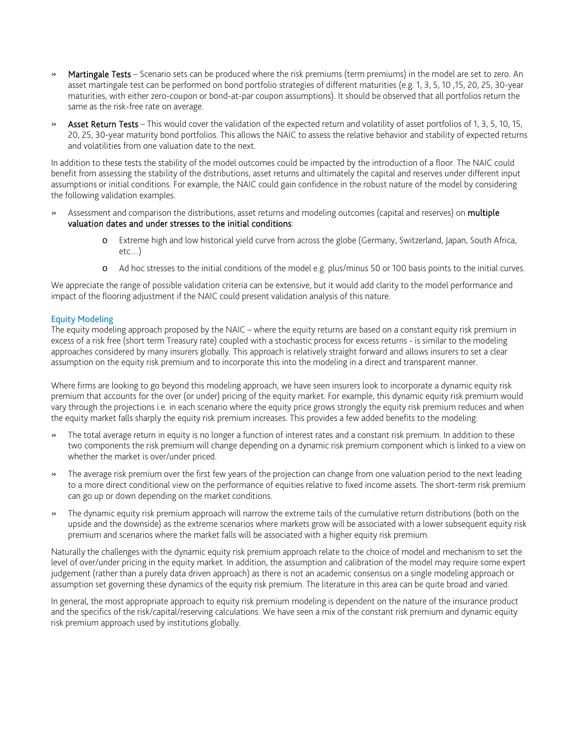- » Martingale Tests Scenario sets can be produced where the risk premiums (term premiums) in the model are set to zero. An asset martingale test can be performed on bond portfolio strategies of different maturities (e.g. 1, 3, 5, 10 ,15, 20, 25, 30-year maturities, with either zero-coupon or bond-at-par coupon assumptions). It should be observed that all portfolios return the same as the risk-free rate on average.
- » Asset Return Tests This would cover the validation of the expected return and volatility of asset portfolios of 1, 3, 5, 10, 15, 20, 25, 30-year maturity bond portfolios. This allows the NAIC to assess the relative behavior and stability of expected returns and volatilities from one valuation date to the next.

In addition to these tests the stability of the model outcomes could be impacted by the introduction of a floor. The NAIC could benefit from assessing the stability of the distributions, asset returns and ultimately the capital and reserves under different input assumptions or initial conditions. For example, the NAIC could gain confidence in the robust nature of the model by considering the following validation examples.

- Assessment and comparison the distributions, asset returns and modeling outcomes (capital and reserves) on multiple valuation dates and under stresses to the initial conditions:
	- o Extreme high and low historical yield curve from across the globe (Germany, Switzerland, Japan, South Africa, etc…)
	- o Ad hoc stresses to the initial conditions of the model e.g. plus/minus 50 or 100 basis points to the initial curves.

We appreciate the range of possible validation criteria can be extensive, but it would add clarity to the model performance and impact of the flooring adjustment if the NAIC could present validation analysis of this nature.

# Equity Modeling

The equity modeling approach proposed by the NAIC – where the equity returns are based on a constant equity risk premium in excess of a risk free (short term Treasury rate) coupled with a stochastic process for excess returns - is similar to the modeling approaches considered by many insurers globally. This approach is relatively straight forward and allows insurers to set a clear assumption on the equity risk premium and to incorporate this into the modeling in a direct and transparent manner.

Where firms are looking to go beyond this modeling approach, we have seen insurers look to incorporate a dynamic equity risk premium that accounts for the over (or under) pricing of the equity market. For example, this dynamic equity risk premium would vary through the projections i.e. in each scenario where the equity price grows strongly the equity risk premium reduces and when the equity market falls sharply the equity risk premium increases. This provides a few added benefits to the modeling:

- » The total average return in equity is no longer a function of interest rates and a constant risk premium. In addition to these two components the risk premium will change depending on a dynamic risk premium component which is linked to a view on whether the market is over/under priced.
- » The average risk premium over the first few years of the projection can change from one valuation period to the next leading to a more direct conditional view on the performance of equities relative to fixed income assets. The short-term risk premium can go up or down depending on the market conditions.
- » The dynamic equity risk premium approach will narrow the extreme tails of the cumulative return distributions (both on the upside and the downside) as the extreme scenarios where markets grow will be associated with a lower subsequent equity risk premium and scenarios where the market falls will be associated with a higher equity risk premium.

Naturally the challenges with the dynamic equity risk premium approach relate to the choice of model and mechanism to set the level of over/under pricing in the equity market. In addition, the assumption and calibration of the model may require some expert judgement (rather than a purely data driven approach) as there is not an academic consensus on a single modeling approach or assumption set governing these dynamics of the equity risk premium. The literature in this area can be quite broad and varied.

In general, the most appropriate approach to equity risk premium modeling is dependent on the nature of the insurance product and the specifics of the risk/capital/reserving calculations. We have seen a mix of the constant risk premium and dynamic equity risk premium approach used by institutions globally.